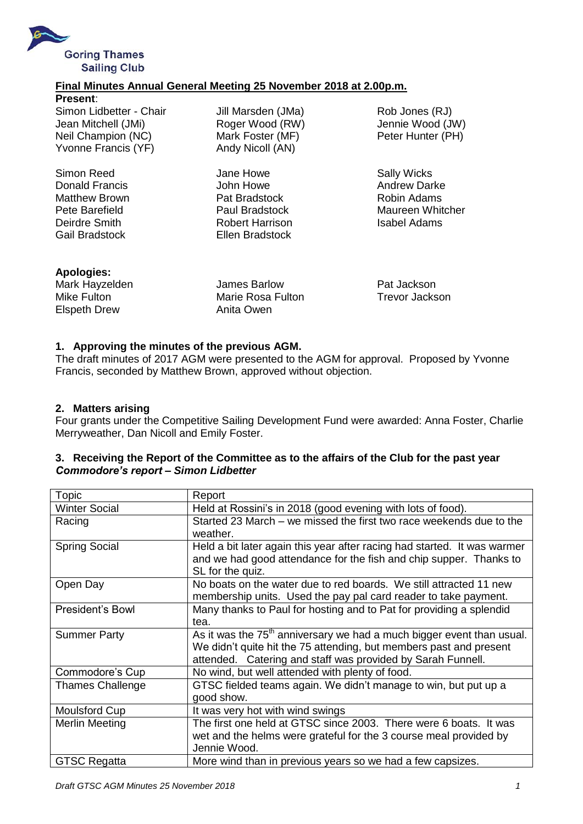

# **Final Minutes Annual General Meeting 25 November 2018 at 2.00p.m.**

Simon Reed **Summan Sally Wicks** Jane Howe **Sally Wicks** Donald Francis **Communist Communist Communist Communist Communist Communist Communist Communist Communist Communist Communist Communist Communist Communist Communist Communist Communist Communist Communist Communist Commun** Matthew Brown **Pat Bradstock** Robin Adams Deirdre Smith **Robert Harrison** Isabel Adams

Jill Marsden (JMa) Rob Jones (RJ) Mark Foster (MF) Peter Hunter (PH) Andy Nicoll (AN)

Gail Bradstock Ellen Bradstock

Roger Wood (RW) Jennie Wood (JW)

Pete Barefield **Paul Bradstock** Maureen Whitcher

**Apologies:**

Mark Hayzelden James Barlow Pat Jackson Mike Fulton Marie Rosa Fulton Trevor Jackson Elspeth Drew **Anita Owen** 

# **1. Approving the minutes of the previous AGM.**

The draft minutes of 2017 AGM were presented to the AGM for approval. Proposed by Yvonne Francis, seconded by Matthew Brown, approved without objection.

#### **2. Matters arising**

Four grants under the Competitive Sailing Development Fund were awarded: Anna Foster, Charlie Merryweather, Dan Nicoll and Emily Foster.

#### **3. Receiving the Report of the Committee as to the affairs of the Club for the past year** *Commodore's report – Simon Lidbetter*

| <b>Topic</b>            | Report                                                                                                                                                                                                       |
|-------------------------|--------------------------------------------------------------------------------------------------------------------------------------------------------------------------------------------------------------|
| <b>Winter Social</b>    | Held at Rossini's in 2018 (good evening with lots of food).                                                                                                                                                  |
| Racing                  | Started 23 March – we missed the first two race weekends due to the<br>weather.                                                                                                                              |
| <b>Spring Social</b>    | Held a bit later again this year after racing had started. It was warmer<br>and we had good attendance for the fish and chip supper. Thanks to<br>SL for the quiz.                                           |
| Open Day                | No boats on the water due to red boards. We still attracted 11 new<br>membership units. Used the pay pal card reader to take payment.                                                                        |
| President's Bowl        | Many thanks to Paul for hosting and to Pat for providing a splendid<br>tea.                                                                                                                                  |
| <b>Summer Party</b>     | As it was the $75th$ anniversary we had a much bigger event than usual.<br>We didn't quite hit the 75 attending, but members past and present<br>attended. Catering and staff was provided by Sarah Funnell. |
| Commodore's Cup         | No wind, but well attended with plenty of food.                                                                                                                                                              |
| <b>Thames Challenge</b> | GTSC fielded teams again. We didn't manage to win, but put up a<br>good show.                                                                                                                                |
| Moulsford Cup           | It was very hot with wind swings                                                                                                                                                                             |
| Merlin Meeting          | The first one held at GTSC since 2003. There were 6 boats. It was<br>wet and the helms were grateful for the 3 course meal provided by<br>Jennie Wood.                                                       |
| <b>GTSC Regatta</b>     | More wind than in previous years so we had a few capsizes.                                                                                                                                                   |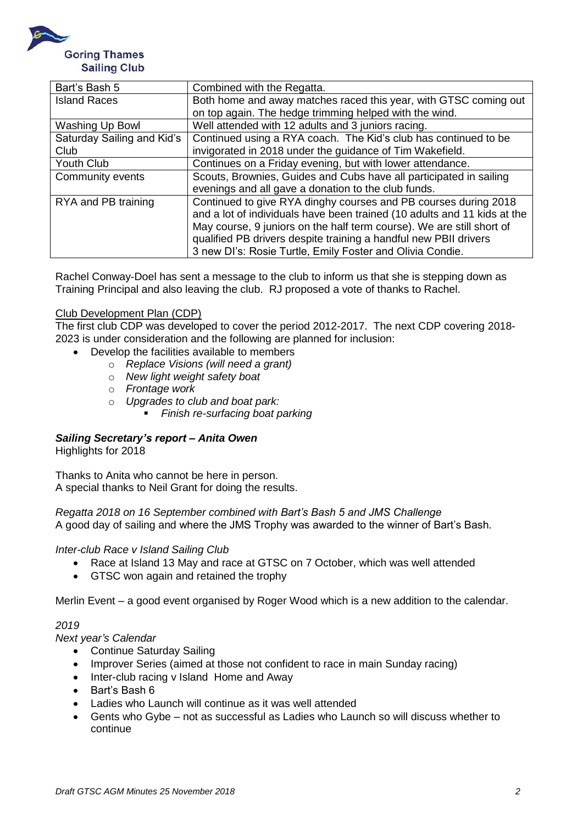

| Bart's Bash 5              | Combined with the Regatta.                                               |
|----------------------------|--------------------------------------------------------------------------|
| <b>Island Races</b>        | Both home and away matches raced this year, with GTSC coming out         |
|                            | on top again. The hedge trimming helped with the wind.                   |
| Washing Up Bowl            | Well attended with 12 adults and 3 juniors racing.                       |
| Saturday Sailing and Kid's | Continued using a RYA coach. The Kid's club has continued to be          |
| Club                       | invigorated in 2018 under the guidance of Tim Wakefield.                 |
| Youth Club                 | Continues on a Friday evening, but with lower attendance.                |
| Community events           | Scouts, Brownies, Guides and Cubs have all participated in sailing       |
|                            | evenings and all gave a donation to the club funds.                      |
| RYA and PB training        | Continued to give RYA dinghy courses and PB courses during 2018          |
|                            | and a lot of individuals have been trained (10 adults and 11 kids at the |
|                            | May course, 9 juniors on the half term course). We are still short of    |
|                            | qualified PB drivers despite training a handful new PBII drivers         |
|                            | 3 new DI's: Rosie Turtle, Emily Foster and Olivia Condie.                |

Rachel Conway-Doel has sent a message to the club to inform us that she is stepping down as Training Principal and also leaving the club. RJ proposed a vote of thanks to Rachel.

#### Club Development Plan (CDP)

The first club CDP was developed to cover the period 2012-2017. The next CDP covering 2018- 2023 is under consideration and the following are planned for inclusion:

- Develop the facilities available to members
	- o *Replace Visions (will need a grant)*
	- o *New light weight safety boat*
	- o *Frontage work*
	- o *Upgrades to club and boat park:* 
		- *Finish re-surfacing boat parking*

# *Sailing Secretary's report – Anita Owen*

Highlights for 2018

Thanks to Anita who cannot be here in person. A special thanks to Neil Grant for doing the results.

*Regatta 2018 on 16 September combined with Bart's Bash 5 and JMS Challenge* A good day of sailing and where the JMS Trophy was awarded to the winner of Bart's Bash.

#### *Inter-club Race v Island Sailing Club*

- Race at Island 13 May and race at GTSC on 7 October, which was well attended
- GTSC won again and retained the trophy

Merlin Event – a good event organised by Roger Wood which is a new addition to the calendar.

# *2019*

*Next year's Calendar*

- Continue Saturday Sailing
- Improver Series (aimed at those not confident to race in main Sunday racing)
- Inter-club racing v Island Home and Away
- Bart's Bash 6
- Ladies who Launch will continue as it was well attended
- Gents who Gybe not as successful as Ladies who Launch so will discuss whether to continue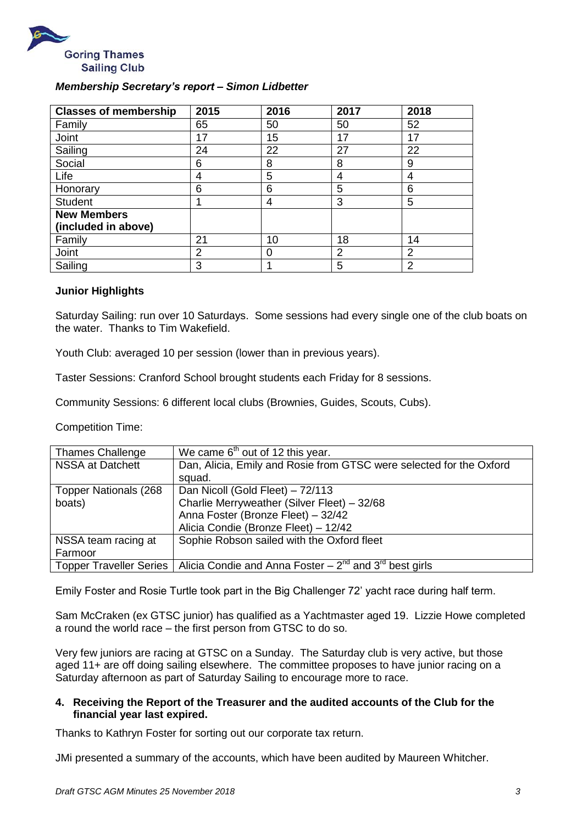

# *Membership Secretary's report – Simon Lidbetter*

| <b>Classes of membership</b> | 2015 | 2016 | 2017 | 2018           |
|------------------------------|------|------|------|----------------|
| Family                       | 65   | 50   | 50   | 52             |
| Joint                        | 17   | 15   | 17   | 17             |
| Sailing                      | 24   | 22   | 27   | 22             |
| Social                       | 6    | 8    | 8    | 9              |
| Life                         | 4    | 5    | 4    | 4              |
| Honorary                     | 6    | 6    | 5    | 6              |
| <b>Student</b>               |      | 4    | 3    | 5              |
| <b>New Members</b>           |      |      |      |                |
| (included in above)          |      |      |      |                |
| Family                       | 21   | 10   | 18   | 14             |
| Joint                        | 2    | 0    | 2    | $\overline{2}$ |
| Sailing                      | 3    |      | 5    | 2              |

#### **Junior Highlights**

Saturday Sailing: run over 10 Saturdays. Some sessions had every single one of the club boats on the water. Thanks to Tim Wakefield.

Youth Club: averaged 10 per session (lower than in previous years).

Taster Sessions: Cranford School brought students each Friday for 8 sessions.

Community Sessions: 6 different local clubs (Brownies, Guides, Scouts, Cubs).

Competition Time:

| <b>Thames Challenge</b>        | We came $6th$ out of 12 this year.                                  |
|--------------------------------|---------------------------------------------------------------------|
| <b>NSSA at Datchett</b>        | Dan, Alicia, Emily and Rosie from GTSC were selected for the Oxford |
|                                | squad.                                                              |
| <b>Topper Nationals (268)</b>  | Dan Nicoll (Gold Fleet) - 72/113                                    |
| boats)                         | Charlie Merryweather (Silver Fleet) - 32/68                         |
|                                | Anna Foster (Bronze Fleet) - 32/42                                  |
|                                | Alicia Condie (Bronze Fleet) - 12/42                                |
| NSSA team racing at            | Sophie Robson sailed with the Oxford fleet                          |
| Farmoor                        |                                                                     |
| <b>Topper Traveller Series</b> | Alicia Condie and Anna Foster – $2^{nd}$ and $3^{rd}$ best girls    |

Emily Foster and Rosie Turtle took part in the Big Challenger 72' yacht race during half term.

Sam McCraken (ex GTSC junior) has qualified as a Yachtmaster aged 19. Lizzie Howe completed a round the world race – the first person from GTSC to do so.

Very few juniors are racing at GTSC on a Sunday. The Saturday club is very active, but those aged 11+ are off doing sailing elsewhere. The committee proposes to have junior racing on a Saturday afternoon as part of Saturday Sailing to encourage more to race.

#### **4. Receiving the Report of the Treasurer and the audited accounts of the Club for the financial year last expired.**

Thanks to Kathryn Foster for sorting out our corporate tax return.

JMi presented a summary of the accounts, which have been audited by Maureen Whitcher.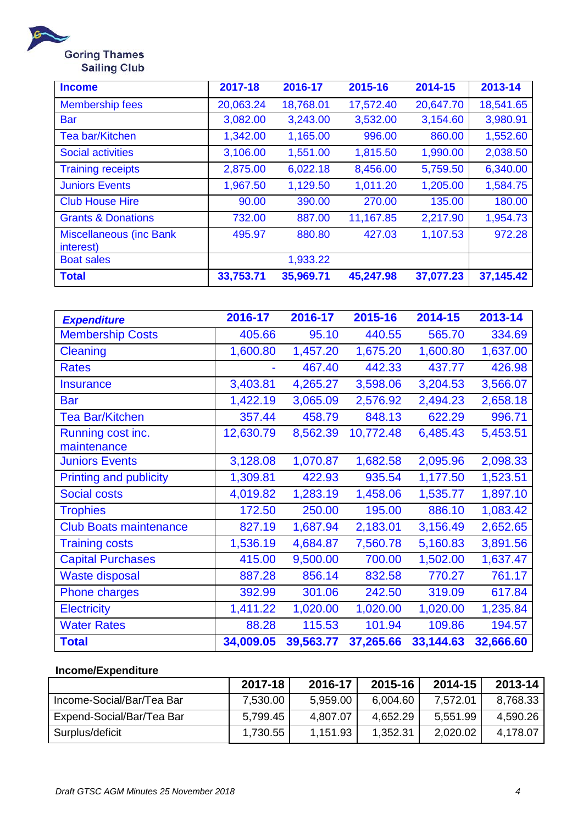

| <b>Income</b>                               | 2017-18   | 2016-17   | 2015-16   | 2014-15   | 2013-14   |
|---------------------------------------------|-----------|-----------|-----------|-----------|-----------|
| <b>Membership fees</b>                      | 20,063.24 | 18,768.01 | 17,572.40 | 20,647.70 | 18,541.65 |
| <b>Bar</b>                                  | 3,082.00  | 3,243.00  | 3,532.00  | 3,154.60  | 3,980.91  |
| <b>Tea bar/Kitchen</b>                      | 1,342.00  | 1,165.00  | 996.00    | 860.00    | 1,552.60  |
| <b>Social activities</b>                    | 3,106.00  | 1,551.00  | 1,815.50  | 1,990.00  | 2,038.50  |
| <b>Training receipts</b>                    | 2,875.00  | 6,022.18  | 8,456.00  | 5,759.50  | 6,340.00  |
| <b>Juniors Events</b>                       | 1,967.50  | 1,129.50  | 1,011.20  | 1,205.00  | 1,584.75  |
| <b>Club House Hire</b>                      | 90.00     | 390.00    | 270.00    | 135.00    | 180.00    |
| <b>Grants &amp; Donations</b>               | 732.00    | 887.00    | 11,167.85 | 2,217.90  | 1,954.73  |
| <b>Miscellaneous (inc Bank</b><br>interest) | 495.97    | 880.80    | 427.03    | 1,107.53  | 972.28    |
| <b>Boat sales</b>                           |           | 1,933.22  |           |           |           |
| <b>Total</b>                                | 33,753.71 | 35,969.71 | 45,247.98 | 37,077.23 | 37,145.42 |

| <b>Expenditure</b>            | 2016-17   | 2016-17   | 2015-16   | 2014-15   | 2013-14   |
|-------------------------------|-----------|-----------|-----------|-----------|-----------|
| <b>Membership Costs</b>       | 405.66    | 95.10     | 440.55    | 565.70    | 334.69    |
| Cleaning                      | 1,600.80  | 1,457.20  | 1,675.20  | 1,600.80  | 1,637.00  |
| <b>Rates</b>                  |           | 467.40    | 442.33    | 437.77    | 426.98    |
| <b>Insurance</b>              | 3,403.81  | 4,265.27  | 3,598.06  | 3,204.53  | 3,566.07  |
| <b>Bar</b>                    | 1,422.19  | 3,065.09  | 2,576.92  | 2,494.23  | 2,658.18  |
| <b>Tea Bar/Kitchen</b>        | 357.44    | 458.79    | 848.13    | 622.29    | 996.71    |
| Running cost inc.             | 12,630.79 | 8,562.39  | 10,772.48 | 6,485.43  | 5,453.51  |
| maintenance                   |           |           |           |           |           |
| <b>Juniors Events</b>         | 3,128.08  | 1,070.87  | 1,682.58  | 2,095.96  | 2,098.33  |
| <b>Printing and publicity</b> | 1,309.81  | 422.93    | 935.54    | 1,177.50  | 1,523.51  |
| <b>Social costs</b>           | 4,019.82  | 1,283.19  | 1,458.06  | 1,535.77  | 1,897.10  |
| <b>Trophies</b>               | 172.50    | 250.00    | 195.00    | 886.10    | 1,083.42  |
| <b>Club Boats maintenance</b> | 827.19    | 1,687.94  | 2,183.01  | 3,156.49  | 2,652.65  |
| <b>Training costs</b>         | 1,536.19  | 4,684.87  | 7,560.78  | 5,160.83  | 3,891.56  |
| <b>Capital Purchases</b>      | 415.00    | 9,500.00  | 700.00    | 1,502.00  | 1,637.47  |
| <b>Waste disposal</b>         | 887.28    | 856.14    | 832.58    | 770.27    | 761.17    |
| <b>Phone charges</b>          | 392.99    | 301.06    | 242.50    | 319.09    | 617.84    |
| <b>Electricity</b>            | 1,411.22  | 1,020.00  | 1,020.00  | 1,020.00  | 1,235.84  |
| <b>Water Rates</b>            | 88.28     | 115.53    | 101.94    | 109.86    | 194.57    |
| <b>Total</b>                  | 34,009.05 | 39,563.77 | 37,265.66 | 33,144.63 | 32,666.60 |

# **Income/Expenditure**

|                           | 2017-18  | 2016-17  | 2015-16  | 2014-15  | 2013-14  |
|---------------------------|----------|----------|----------|----------|----------|
| Income-Social/Bar/Tea Bar | 7,530.00 | 5,959.00 | 6,004.60 | 7,572.01 | 8.768.33 |
| Expend-Social/Bar/Tea Bar | 5,799.45 | 4,807.07 | 4,652.29 | 5,551.99 | 4,590.26 |
| Surplus/deficit           | 1,730.55 | 1,151.93 | 1,352.31 | 2,020.02 | 4,178.07 |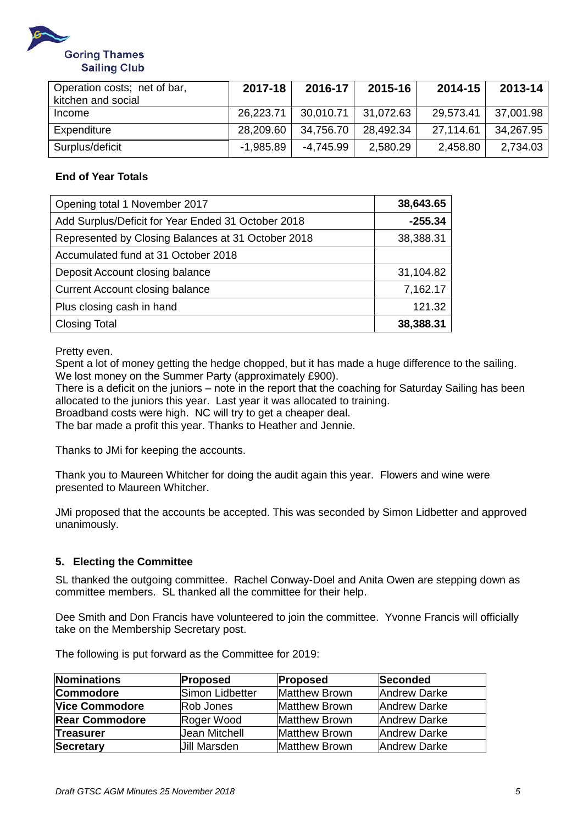

| Operation costs; net of bar,<br>kitchen and social | 2017-18     | 2016-17             | 2015-16   | 2014-15   | 2013-14   |
|----------------------------------------------------|-------------|---------------------|-----------|-----------|-----------|
| Income                                             | 26,223.71   | 30,010.71 31,072.63 |           | 29,573.41 | 37,001.98 |
| Expenditure                                        | 28,209.60   | 34,756.70           | 28.492.34 | 27,114.61 | 34,267.95 |
| Surplus/deficit                                    | $-1,985.89$ | -4.745.99           | 2,580.29  | 2,458.80  | 2,734.03  |

# **End of Year Totals**

| Opening total 1 November 2017                      | 38,643.65 |
|----------------------------------------------------|-----------|
| Add Surplus/Deficit for Year Ended 31 October 2018 | $-255.34$ |
| Represented by Closing Balances at 31 October 2018 | 38,388.31 |
| Accumulated fund at 31 October 2018                |           |
| Deposit Account closing balance                    | 31,104.82 |
| <b>Current Account closing balance</b>             | 7,162.17  |
| Plus closing cash in hand                          | 121.32    |
| <b>Closing Total</b>                               | 38,388.31 |

Pretty even.

Spent a lot of money getting the hedge chopped, but it has made a huge difference to the sailing. We lost money on the Summer Party (approximately £900).

There is a deficit on the juniors – note in the report that the coaching for Saturday Sailing has been allocated to the juniors this year. Last year it was allocated to training.

Broadband costs were high. NC will try to get a cheaper deal.

The bar made a profit this year. Thanks to Heather and Jennie.

Thanks to JMi for keeping the accounts.

Thank you to Maureen Whitcher for doing the audit again this year. Flowers and wine were presented to Maureen Whitcher.

JMi proposed that the accounts be accepted. This was seconded by Simon Lidbetter and approved unanimously.

# **5. Electing the Committee**

SL thanked the outgoing committee. Rachel Conway-Doel and Anita Owen are stepping down as committee members. SL thanked all the committee for their help.

Dee Smith and Don Francis have volunteered to join the committee. Yvonne Francis will officially take on the Membership Secretary post.

| Nominations           | <b>Proposed</b>     | Proposed             | Seconded     |
|-----------------------|---------------------|----------------------|--------------|
| Commodore             | Simon Lidbetter     | <b>Matthew Brown</b> | Andrew Darke |
| <b>Vice Commodore</b> | Rob Jones           | <b>Matthew Brown</b> | Andrew Darke |
| <b>Rear Commodore</b> | Roger Wood          | <b>Matthew Brown</b> | Andrew Darke |
| Treasurer             | Uean Mitchell       | <b>Matthew Brown</b> | Andrew Darke |
| <b>Secretary</b>      | <b>Jill Marsden</b> | <b>Matthew Brown</b> | Andrew Darke |

The following is put forward as the Committee for 2019: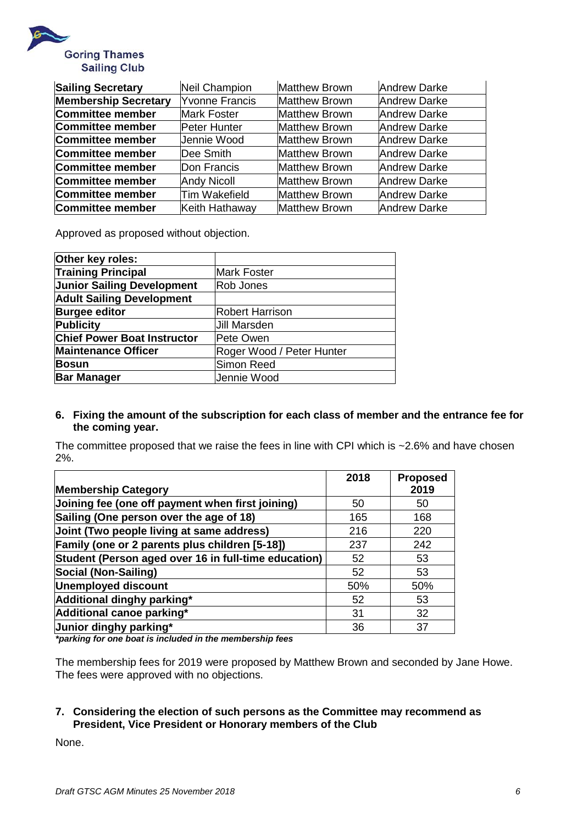

| <b>Sailing Secretary</b>    | Neil Champion         | <b>Matthew Brown</b> | <b>Andrew Darke</b> |
|-----------------------------|-----------------------|----------------------|---------------------|
| <b>Membership Secretary</b> | <b>Yvonne Francis</b> | <b>Matthew Brown</b> | <b>Andrew Darke</b> |
| Committee member            | <b>Mark Foster</b>    | <b>Matthew Brown</b> | <b>Andrew Darke</b> |
| Committee member            | <b>Peter Hunter</b>   | <b>Matthew Brown</b> | <b>Andrew Darke</b> |
| Committee member            | Jennie Wood           | <b>Matthew Brown</b> | <b>Andrew Darke</b> |
| Committee member            | Dee Smith             | <b>Matthew Brown</b> | Andrew Darke        |
| Committee member            | Don Francis           | <b>Matthew Brown</b> | <b>Andrew Darke</b> |
| Committee member            | <b>Andy Nicoll</b>    | <b>Matthew Brown</b> | <b>Andrew Darke</b> |
| Committee member            | Tim Wakefield         | <b>Matthew Brown</b> | <b>Andrew Darke</b> |
| Committee member            | Keith Hathaway        | <b>Matthew Brown</b> | <b>Andrew Darke</b> |

Approved as proposed without objection.

| Other key roles:                   |                           |
|------------------------------------|---------------------------|
| <b>Training Principal</b>          | <b>Mark Foster</b>        |
| <b>Junior Sailing Development</b>  | Rob Jones                 |
| <b>Adult Sailing Development</b>   |                           |
| <b>Burgee editor</b>               | <b>Robert Harrison</b>    |
| <b>Publicity</b>                   | <b>Jill Marsden</b>       |
| <b>Chief Power Boat Instructor</b> | Pete Owen                 |
| <b>Maintenance Officer</b>         | Roger Wood / Peter Hunter |
| <b>Bosun</b>                       | Simon Reed                |
| <b>Bar Manager</b>                 | Jennie Wood               |
|                                    |                           |

#### **6. Fixing the amount of the subscription for each class of member and the entrance fee for the coming year.**

The committee proposed that we raise the fees in line with CPI which is ~2.6% and have chosen 2%.

|                                                      | 2018 | <b>Proposed</b> |
|------------------------------------------------------|------|-----------------|
| <b>Membership Category</b>                           |      | 2019            |
| Joining fee (one off payment when first joining)     | 50   | 50              |
| Sailing (One person over the age of 18)              | 165  | 168             |
| Joint (Two people living at same address)            | 216  | 220             |
| Family (one or 2 parents plus children [5-18])       | 237  | 242             |
| Student (Person aged over 16 in full-time education) | 52   | 53              |
| Social (Non-Sailing)                                 | 52   | 53              |
| Unemployed discount                                  | 50%  | 50%             |
| Additional dinghy parking*                           | 52   | 53              |
| Additional canoe parking*                            | 31   | 32              |
| Junior dinghy parking*                               | 36   | 37              |

*\*parking for one boat is included in the membership fees*

The membership fees for 2019 were proposed by Matthew Brown and seconded by Jane Howe. The fees were approved with no objections.

# **7. Considering the election of such persons as the Committee may recommend as President, Vice President or Honorary members of the Club**

None.